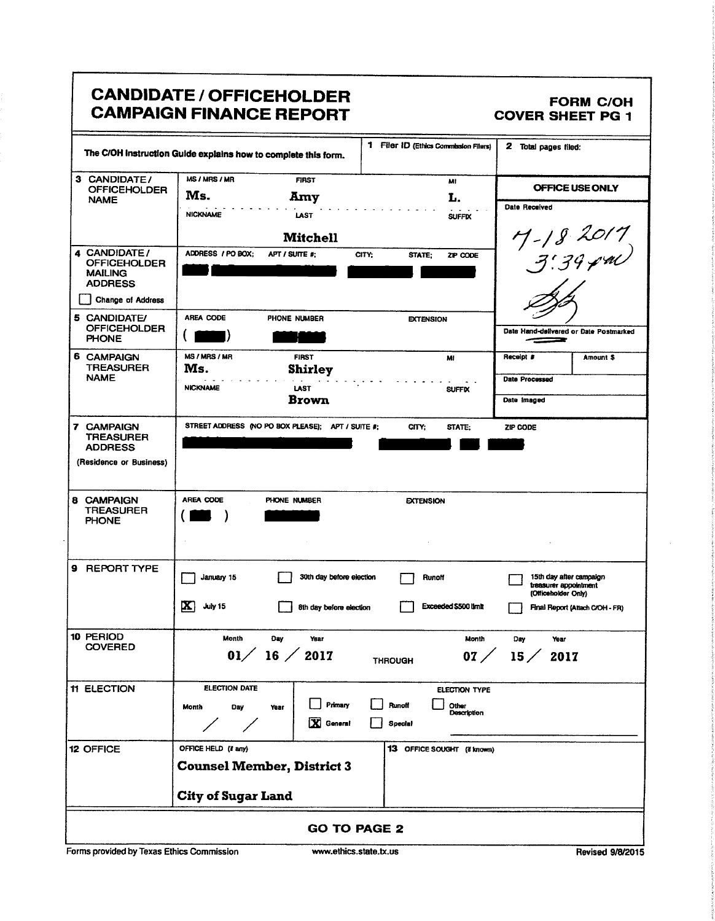|                                                                                                                     | <b>CANDIDATE / OFFICEHOLDER</b><br><b>CAMPAIGN FINANCE REPORT</b>                            |                                                            | <b>FORM C/OH</b><br><b>COVER SHEET PG 1</b>                                                                |
|---------------------------------------------------------------------------------------------------------------------|----------------------------------------------------------------------------------------------|------------------------------------------------------------|------------------------------------------------------------------------------------------------------------|
|                                                                                                                     | The C/OH Instruction Guide explains how to complete this form.                               | 1 Filer ID (Ethics Commission Filers)                      | 2 Total pages filed:                                                                                       |
| 3 CANDIDATE/<br><b>OFFICEHOLDER</b><br><b>NAME</b>                                                                  | MS / MRS / MR<br><b>FIRST</b><br>Ms.<br>Amy<br><b>NICKNAME</b><br><b>LAST</b>                | MI<br>L.<br><b>SUFFIX</b>                                  | OFFICE USE ONLY<br><b>Date Received</b>                                                                    |
| 4 CANDIDATE/<br><b>OFFICEHOLDER</b><br><b>MAILING</b><br><b>ADDRESS</b><br><b>Change of Address</b><br>5 CANDIDATE/ | <b>Mitchell</b><br>ADDRESS / PO BOX;<br>APT / SUITE #:<br><b>AREA CODE</b><br>PHONE NUMBER   | CITY;<br>STATE:<br>ZIP CODE                                | 7-18 2017<br>3:39 pm)                                                                                      |
| <b>OFFICEHOLDER</b><br><b>PHONE</b><br>6 CAMPAIGN                                                                   | MS / MRS / MR<br><b>FIRST</b>                                                                | <b>EXTENSION</b><br>MI                                     | Date Hand-delivered or Date Postmarked<br>--<br>Receipt #<br>Amount \$                                     |
| <b>TREASURER</b><br><b>NAME</b>                                                                                     | Ms.<br><b>Shirley</b><br><b>NICKNAME</b><br><b>LAST</b><br><b>Brown</b>                      | <b>SUFFIX</b>                                              | <b>Date Processed</b><br>Date Imaged                                                                       |
| <b>7 CAMPAIGN</b><br><b>TREASURER</b><br><b>ADDRESS</b><br>(Residence or Business)                                  | STREET ADDRESS (NO PO BOX PLEASE); APT / SUITE #;                                            | CITY:<br>STATE:                                            | ZIP CODE                                                                                                   |
| 8 CAMPAIGN<br>TREASURER<br><b>PHONE</b>                                                                             | AREA CODE<br>PHONE NUMBER                                                                    | <b>EXTENSION</b>                                           |                                                                                                            |
| <b>9 REPORT TYPE</b>                                                                                                | January 15<br>30th day before election<br>$\mathbf{X}$<br>July 15<br>8th day before election | Runoff<br>Exceeded \$500 limit                             | 15th day after campaign<br>treasurer appointment<br>(Officeholder Only)<br>Final Report (Attach C/OH - FR) |
| 10 PERIOD<br><b>COVERED</b>                                                                                         | Month<br>Day<br>Year<br>01/<br>$16 \; / \; 2017$                                             | Month<br>07/<br><b>THROUGH</b>                             | Day<br>Year<br>15/<br>2017                                                                                 |
| <b>11 ELECTION</b>                                                                                                  | ELECTION DATE<br>Primary<br>Year<br>Month<br>Day<br>ÞЗ<br>General                            | ELECTION TYPE<br>Runoff<br>Other<br>Description<br>Special |                                                                                                            |
| 12 OFFICE                                                                                                           | OFFICE HELD (if any)<br><b>Counsel Member, District 3</b><br><b>City of Sugar Land</b>       | 13 OFFICE SOUGHT (if known)                                |                                                                                                            |
| <b>GO TO PAGE 2</b>                                                                                                 |                                                                                              |                                                            |                                                                                                            |
| Forms provided by Texas Ethics Commission<br>www.ethics.state.tx.us<br>Revised 9/8/2015                             |                                                                                              |                                                            |                                                                                                            |

ł

 $\ddot{\phantom{a}}$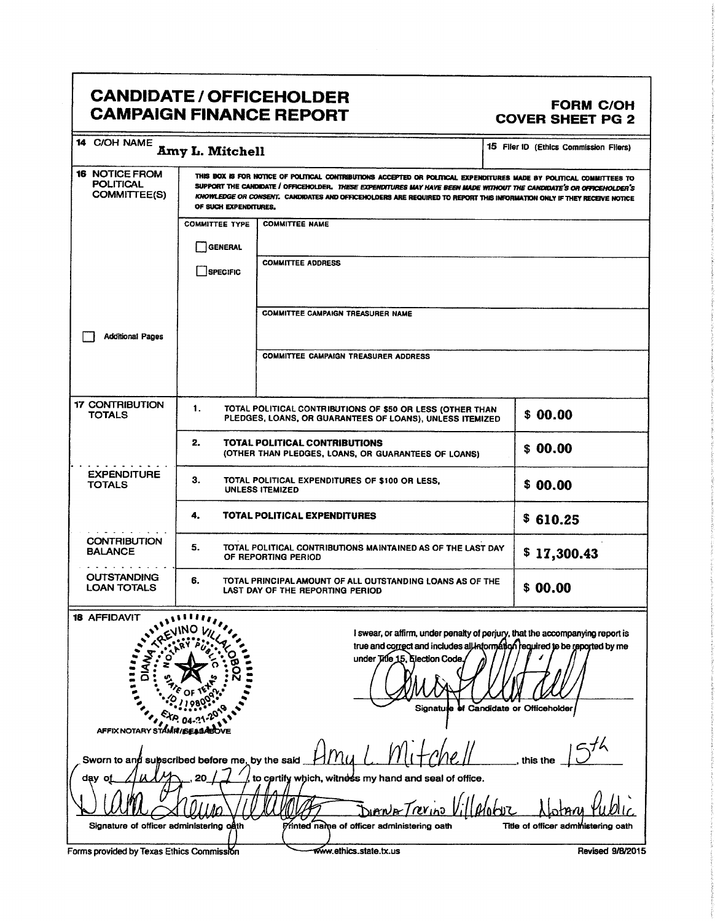## CANDIDATE / OFFICEHOLDER<br>CAMPAIGN FINANCE REPORT COVER SHEET PG 2 **CAMPAIGN FINANCE REPORT**

| 14 C/OH NAME                                                                                                                                                 | <b>Amy L. Mitchell</b>                                                                                                                                                                                                                                                                                                                                                                           |                                                                                                                                                                                                                                                                                                       | 15 Filer ID (Ethics Commission Filers)                                                    |  |  |
|--------------------------------------------------------------------------------------------------------------------------------------------------------------|--------------------------------------------------------------------------------------------------------------------------------------------------------------------------------------------------------------------------------------------------------------------------------------------------------------------------------------------------------------------------------------------------|-------------------------------------------------------------------------------------------------------------------------------------------------------------------------------------------------------------------------------------------------------------------------------------------------------|-------------------------------------------------------------------------------------------|--|--|
| <b>16 NOTICE FROM</b><br><b>POLITICAL</b><br><b>COMMITTEE(S)</b>                                                                                             | THIS BOX IS FOR NOTICE OF POLITICAL CONTRIBUTIONS ACCEPTED OR POLITICAL EXPENDITURES MADE BY POLITICAL COMMITTEES TO<br>SUPPORT THE CANDIDATE / OFFICEHOLDER. THESE EXPENDITURES MAY HAVE BEEN MADE WITHOUT THE CANDIDATE'S OR OFFICEHOLDER'S<br>KNOWLEDGE OR CONSENT. CANDIDATES AND OFFICENOLDERS ARE REQUIRED TO REPORT THIS INFORMATION ONLY IF THEY RECEIVE NOTICE<br>OF SUCH EXPENDITURES. |                                                                                                                                                                                                                                                                                                       |                                                                                           |  |  |
|                                                                                                                                                              | <b>COMMITTEE TYPE</b>                                                                                                                                                                                                                                                                                                                                                                            | <b>COMMITTEE NAME</b>                                                                                                                                                                                                                                                                                 |                                                                                           |  |  |
|                                                                                                                                                              | <b>GENERAL</b>                                                                                                                                                                                                                                                                                                                                                                                   |                                                                                                                                                                                                                                                                                                       |                                                                                           |  |  |
|                                                                                                                                                              | SPECIFIC                                                                                                                                                                                                                                                                                                                                                                                         | <b>COMMITTEE ADDRESS</b>                                                                                                                                                                                                                                                                              |                                                                                           |  |  |
|                                                                                                                                                              |                                                                                                                                                                                                                                                                                                                                                                                                  | <b>COMMITTEE CAMPAIGN TREASURER NAME</b>                                                                                                                                                                                                                                                              |                                                                                           |  |  |
| <b>Additional Pages</b>                                                                                                                                      |                                                                                                                                                                                                                                                                                                                                                                                                  |                                                                                                                                                                                                                                                                                                       |                                                                                           |  |  |
|                                                                                                                                                              |                                                                                                                                                                                                                                                                                                                                                                                                  | <b>COMMITTEE CAMPAIGN TREASURER ADDRESS</b>                                                                                                                                                                                                                                                           |                                                                                           |  |  |
| <b>17 CONTRIBUTION</b><br><b>TOTALS</b>                                                                                                                      | 1.                                                                                                                                                                                                                                                                                                                                                                                               | TOTAL POLITICAL CONTRIBUTIONS OF \$50 OR LESS (OTHER THAN<br>PLEDGES, LOANS, OR GUARANTEES OF LOANS), UNLESS ITEMIZED                                                                                                                                                                                 | \$00.00                                                                                   |  |  |
|                                                                                                                                                              | 2.                                                                                                                                                                                                                                                                                                                                                                                               | TOTAL POLITICAL CONTRIBUTIONS<br>(OTHER THAN PLEDGES, LOANS, OR GUARANTEES OF LOANS)                                                                                                                                                                                                                  | \$00.00                                                                                   |  |  |
| <b>EXPENDITURE</b><br><b>TOTALS</b>                                                                                                                          | З.<br>TOTAL POLITICAL EXPENDITURES OF \$100 OR LESS.<br><b>UNLESS ITEMIZED</b>                                                                                                                                                                                                                                                                                                                   |                                                                                                                                                                                                                                                                                                       | \$00.00                                                                                   |  |  |
|                                                                                                                                                              | 4.                                                                                                                                                                                                                                                                                                                                                                                               | TOTAL POLITICAL EXPENDITURES                                                                                                                                                                                                                                                                          | \$610.25                                                                                  |  |  |
| <b>CONTRIBUTION</b><br><b>BALANCE</b>                                                                                                                        | 5.<br>TOTAL POLITICAL CONTRIBUTIONS MAINTAINED AS OF THE LAST DAY<br>\$17,300.43<br>OF REPORTING PERIOD                                                                                                                                                                                                                                                                                          |                                                                                                                                                                                                                                                                                                       |                                                                                           |  |  |
| <b>OUTSTANDING</b><br><b>LOAN TOTALS</b>                                                                                                                     | 6.<br>TOTAL PRINCIPAL AMOUNT OF ALL OUTSTANDING LOANS AS OF THE<br>\$00.00<br>LAST DAY OF THE REPORTING PERIOD                                                                                                                                                                                                                                                                                   |                                                                                                                                                                                                                                                                                                       |                                                                                           |  |  |
| <b>18 AFFIDAVIT</b><br><b>AFFIX NOTARY STAMR/SEAD</b><br>Sworn to and subscribed before me, by the said<br>day oj<br>Signature of officer administering oath |                                                                                                                                                                                                                                                                                                                                                                                                  | I swear, or affirm, under penalty of perjury, that the accompanying report is<br>true and correct and includes all information required to be reported by me<br>under Title 15, Election Code.<br>to certify which, witness my hand and seal of office.<br>Printed name of officer administering oath | Signatute of Candidate or Officeholder<br>this the<br>Title of officer administering oath |  |  |
|                                                                                                                                                              |                                                                                                                                                                                                                                                                                                                                                                                                  |                                                                                                                                                                                                                                                                                                       |                                                                                           |  |  |
| Forms provided by Texas Ethics Commission                                                                                                                    |                                                                                                                                                                                                                                                                                                                                                                                                  | www.ethics.state.tx.us                                                                                                                                                                                                                                                                                | Revised 9/8/2015                                                                          |  |  |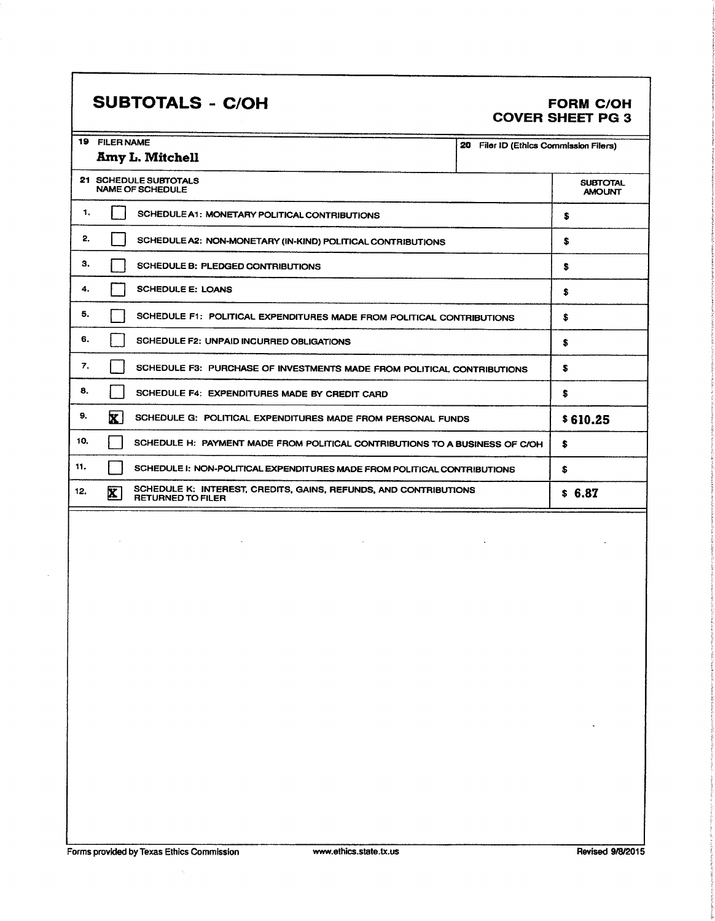## SUBTOTALS - C/OH FORM C/OH

# COVER SHEET PG 3

| 19  | <b>FILER NAME</b><br>20<br>Filer ID (Ethics Commission Filers)                                               |                                  |  |  |
|-----|--------------------------------------------------------------------------------------------------------------|----------------------------------|--|--|
|     | Amy L. Mitchell                                                                                              |                                  |  |  |
|     | 21 SCHEDULE SUBTOTALS<br><b>NAME OF SCHEDULE</b>                                                             | <b>SUBTOTAL</b><br><b>AMOUNT</b> |  |  |
| 1.  | SCHEDULE A1: MONETARY POLITICAL CONTRIBUTIONS                                                                | s                                |  |  |
| 2.  | SCHEDULE A2: NON-MONETARY (IN-KIND) POLITICAL CONTRIBUTIONS                                                  | \$                               |  |  |
| з.  | SCHEDULE B: PLEDGED CONTRIBUTIONS                                                                            | s                                |  |  |
| 4.  | <b>SCHEDULE E: LOANS</b>                                                                                     | \$                               |  |  |
| 5.  | SCHEDULE F1: POLITICAL EXPENDITURES MADE FROM POLITICAL CONTRIBUTIONS                                        | \$                               |  |  |
| 6.  | SCHEDULE F2: UNPAID INCURRED OBLIGATIONS                                                                     | s                                |  |  |
| 7.  | SCHEDULE F3: PURCHASE OF INVESTMENTS MADE FROM POLITICAL CONTRIBUTIONS                                       | S                                |  |  |
| 8.  | SCHEDULE F4: EXPENDITURES MADE BY CREDIT CARD                                                                | s                                |  |  |
| 9.  | $\mathbf{x}$<br>SCHEDULE G: POLITICAL EXPENDITURES MADE FROM PERSONAL FUNDS                                  | \$610.25                         |  |  |
| 10. | SCHEDULE H: PAYMENT MADE FROM POLITICAL CONTRIBUTIONS TO A BUSINESS OF C/OH                                  | s                                |  |  |
| 11. | SCHEDULE I: NON-POLITICAL EXPENDITURES MADE FROM POLITICAL CONTRIBUTIONS                                     | \$                               |  |  |
| 12. | SCHEDULE K: INTEREST, CREDITS, GAINS, REFUNDS, AND CONTRIBUTIONS<br>$\mathbf{X}$<br><b>RETURNED TO FILER</b> | \$6.87                           |  |  |
|     |                                                                                                              |                                  |  |  |
|     |                                                                                                              |                                  |  |  |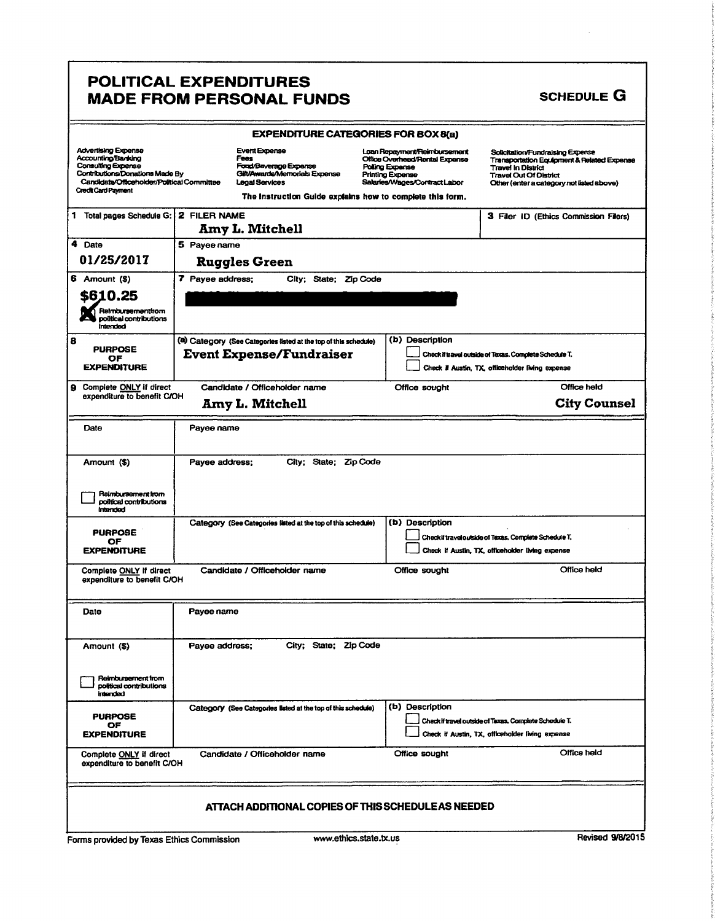### POLITICAL EXPENDITURES MADE FROM PERSONAL FUNDS SCHEDULE G

|                                                                                                                                                                                |                  | <b>EXPENDITURE CATEGORIES FOR BOX 8(a)</b>                                                                                                                                    |                        |                                                                                                                                               |                                                                                                                                                                                                      |
|--------------------------------------------------------------------------------------------------------------------------------------------------------------------------------|------------------|-------------------------------------------------------------------------------------------------------------------------------------------------------------------------------|------------------------|-----------------------------------------------------------------------------------------------------------------------------------------------|------------------------------------------------------------------------------------------------------------------------------------------------------------------------------------------------------|
| <b>Advertising Expense</b><br>Accounting/Banking<br>Consulting Expense<br>Contributions/Donations Made By<br>Candidate/Officeholder/Political Committee<br>Credit Card Payment |                  | <b>Event Expense</b><br>Fees<br>Forad/Beverage Expense<br>Gilt/Awards/Memorials Expense<br><b>Legal Services</b><br>The Instruction Guide explains how to complete this form. |                        | Loan Repayment/Reimbursement<br>Office Overhead/Rental Expense<br>Polling Expense<br><b>Printing Expense</b><br>Salaries/Wages/Contract Labor | Solicitation/Fundralsing Expense<br><b>Transportation Equipment &amp; Related Expense</b><br><b>Travel In District</b><br><b>Travel Out Of District</b><br>Other (enter a category not listed above) |
| 1 Total pages Schedule G:                                                                                                                                                      | 2 FILER NAME     | <b>Amy L. Mitchell</b>                                                                                                                                                        |                        |                                                                                                                                               | 3 Filer ID (Ethics Commission Filers)                                                                                                                                                                |
| 4 Date                                                                                                                                                                         | 5 Payee name     |                                                                                                                                                                               |                        |                                                                                                                                               |                                                                                                                                                                                                      |
| 01/25/2017                                                                                                                                                                     |                  | <b>Ruggles Green</b>                                                                                                                                                          |                        |                                                                                                                                               |                                                                                                                                                                                                      |
| 6 Amount (\$)                                                                                                                                                                  | 7 Payee address; | City; State; Zip Code                                                                                                                                                         |                        |                                                                                                                                               |                                                                                                                                                                                                      |
| \$610.25<br>Reimbursementfrom<br>political contributions<br><i><b>Intended</b></i>                                                                                             |                  |                                                                                                                                                                               |                        |                                                                                                                                               |                                                                                                                                                                                                      |
| 8<br><b>PURPOSE</b>                                                                                                                                                            |                  | (a) Category (See Categories listed at the top of this schedule)                                                                                                              |                        | (b) Description                                                                                                                               |                                                                                                                                                                                                      |
| OF<br><b>EXPENDITURE</b>                                                                                                                                                       |                  | <b>Event Expense/Fundraiser</b>                                                                                                                                               |                        |                                                                                                                                               | Check if travel outside of Texas. Complete Schedule T.<br>Check if Austin, TX, officeholder living expense                                                                                           |
| 9 Complete ONLY if direct                                                                                                                                                      |                  | Candidate / Officeholder name                                                                                                                                                 |                        | Office sought                                                                                                                                 | Office held                                                                                                                                                                                          |
| expenditure to benefit C/OH                                                                                                                                                    |                  | <b>Amy L. Mitchell</b>                                                                                                                                                        |                        |                                                                                                                                               | <b>City Counsel</b>                                                                                                                                                                                  |
|                                                                                                                                                                                |                  |                                                                                                                                                                               |                        |                                                                                                                                               |                                                                                                                                                                                                      |
| Date                                                                                                                                                                           | Payee name       |                                                                                                                                                                               |                        |                                                                                                                                               |                                                                                                                                                                                                      |
| Amount (\$)                                                                                                                                                                    | Payee address;   | City; State; Zip Code                                                                                                                                                         |                        |                                                                                                                                               |                                                                                                                                                                                                      |
| Reimbursement from<br>political contributions<br>intended                                                                                                                      |                  |                                                                                                                                                                               |                        |                                                                                                                                               |                                                                                                                                                                                                      |
| <b>PURPOSE</b>                                                                                                                                                                 |                  | Category (See Categories listed at the top of this schedule)                                                                                                                  |                        | (b) Description                                                                                                                               |                                                                                                                                                                                                      |
| OF<br><b>EXPENDITURE</b>                                                                                                                                                       |                  |                                                                                                                                                                               |                        |                                                                                                                                               | Checkii traveloutside of Texas. Complete Schedule T.<br>Check if Austin, TX, officeholder living expense                                                                                             |
| Complete ONLY if direct                                                                                                                                                        |                  | Candidate / Officeholder name                                                                                                                                                 |                        | Office sought                                                                                                                                 | Office held                                                                                                                                                                                          |
| expenditure to benefit C/OH                                                                                                                                                    |                  |                                                                                                                                                                               |                        |                                                                                                                                               |                                                                                                                                                                                                      |
| Date                                                                                                                                                                           | Payee name       |                                                                                                                                                                               |                        |                                                                                                                                               |                                                                                                                                                                                                      |
| Amount (\$)                                                                                                                                                                    | Payee address;   | City; State; Zip Code                                                                                                                                                         |                        |                                                                                                                                               |                                                                                                                                                                                                      |
| Reimbursement from<br>political contributions<br>intended                                                                                                                      |                  |                                                                                                                                                                               |                        |                                                                                                                                               |                                                                                                                                                                                                      |
| <b>PURPOSE</b>                                                                                                                                                                 |                  | Category (See Categories listed at the top of this schedule)                                                                                                                  |                        | (b) Description                                                                                                                               |                                                                                                                                                                                                      |
| ОF<br><b>EXPENDITURE</b>                                                                                                                                                       |                  |                                                                                                                                                                               |                        |                                                                                                                                               | Check if travel outside of Texas, Complete Schedule T.<br>Check if Austin, TX, officeholder living expense                                                                                           |
| Complete ONLY if direct<br>expenditure to benefit C/OH                                                                                                                         |                  | Candidate / Officeholder name                                                                                                                                                 |                        | Office sought                                                                                                                                 | Office held                                                                                                                                                                                          |
| ATTACH ADDITIONAL COPIES OF THIS SCHEDULE AS NEEDED                                                                                                                            |                  |                                                                                                                                                                               |                        |                                                                                                                                               |                                                                                                                                                                                                      |
| Forms provided by Texas Ethics Commission                                                                                                                                      |                  |                                                                                                                                                                               | www.ethics.state.tx.us |                                                                                                                                               | <b>Revised 9/8/2019</b>                                                                                                                                                                              |